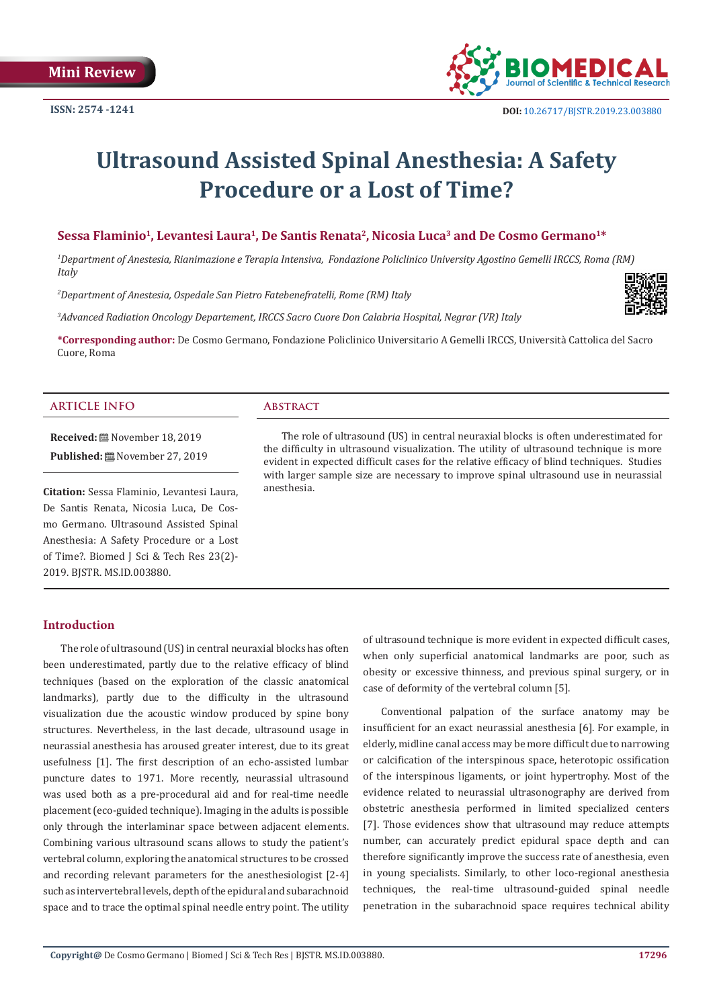

# **Ultrasound Assisted Spinal Anesthesia: A Safety Procedure or a Lost of Time?**

# Sessa Flaminio<sup>1</sup>, Levantesi Laura<sup>1</sup>, De Santis Renata<sup>2</sup>, Nicosia Luca<sup>3</sup> and De Cosmo Germano<sup>1\*</sup>

*1 Department of Anestesia, Rianimazione e Terapia Intensiva, Fondazione Policlinico University Agostino Gemelli IRCCS, Roma (RM) Italy*

*2 Department of Anestesia, Ospedale San Pietro Fatebenefratelli, Rome (RM) Italy*

*3 Advanced Radiation Oncology Departement, IRCCS Sacro Cuore Don Calabria Hospital, Negrar (VR) Italy*



**\*Corresponding author:** De Cosmo Germano, Fondazione Policlinico Universitario A Gemelli IRCCS, Università Cattolica del Sacro Cuore, Roma

#### **ARTICLE INFO Abstract**

**Received:** November 18, 2019 Published: **■**November 27, 2019

**Citation:** Sessa Flaminio, Levantesi Laura, De Santis Renata, Nicosia Luca, De Cosmo Germano. Ultrasound Assisted Spinal Anesthesia: A Safety Procedure or a Lost of Time?. Biomed J Sci & Tech Res 23(2)- 2019. BJSTR. MS.ID.003880.

The role of ultrasound (US) in central neuraxial blocks is often underestimated for the difficulty in ultrasound visualization. The utility of ultrasound technique is more evident in expected difficult cases for the relative efficacy of blind techniques. Studies with larger sample size are necessary to improve spinal ultrasound use in neurassial anesthesia.

#### **Introduction**

The role of ultrasound (US) in central neuraxial blocks has often been underestimated, partly due to the relative efficacy of blind techniques (based on the exploration of the classic anatomical landmarks), partly due to the difficulty in the ultrasound visualization due the acoustic window produced by spine bony structures. Nevertheless, in the last decade, ultrasound usage in neurassial anesthesia has aroused greater interest, due to its great usefulness [1]. The first description of an echo-assisted lumbar puncture dates to 1971. More recently, neurassial ultrasound was used both as a pre-procedural aid and for real-time needle placement (eco-guided technique). Imaging in the adults is possible only through the interlaminar space between adjacent elements. Combining various ultrasound scans allows to study the patient's vertebral column, exploring the anatomical structures to be crossed and recording relevant parameters for the anesthesiologist [2-4] such as intervertebral levels, depth of the epidural and subarachnoid space and to trace the optimal spinal needle entry point. The utility

of ultrasound technique is more evident in expected difficult cases, when only superficial anatomical landmarks are poor, such as obesity or excessive thinness, and previous spinal surgery, or in case of deformity of the vertebral column [5].

Conventional palpation of the surface anatomy may be insufficient for an exact neurassial anesthesia [6]. For example, in elderly, midline canal access may be more difficult due to narrowing or calcification of the interspinous space, heterotopic ossification of the interspinous ligaments, or joint hypertrophy. Most of the evidence related to neurassial ultrasonography are derived from obstetric anesthesia performed in limited specialized centers [7]. Those evidences show that ultrasound may reduce attempts number, can accurately predict epidural space depth and can therefore significantly improve the success rate of anesthesia, even in young specialists. Similarly, to other loco-regional anesthesia techniques, the real-time ultrasound-guided spinal needle penetration in the subarachnoid space requires technical ability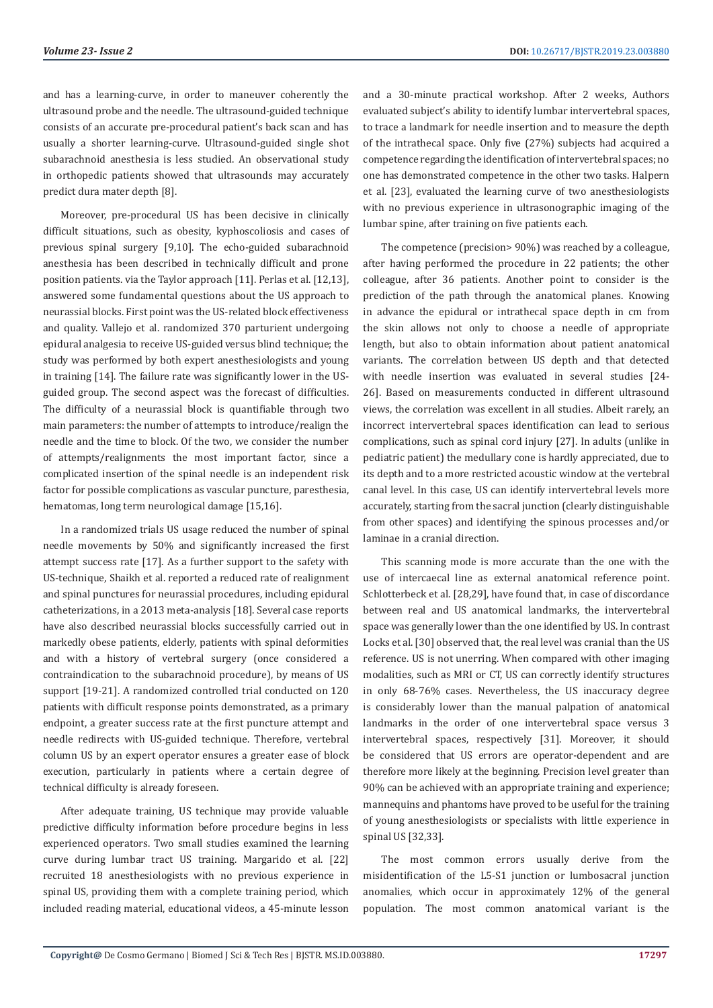and has a learning-curve, in order to maneuver coherently the ultrasound probe and the needle. The ultrasound-guided technique consists of an accurate pre-procedural patient's back scan and has usually a shorter learning-curve. Ultrasound-guided single shot subarachnoid anesthesia is less studied. An observational study in orthopedic patients showed that ultrasounds may accurately predict dura mater depth [8].

Moreover, pre-procedural US has been decisive in clinically difficult situations, such as obesity, kyphoscoliosis and cases of previous spinal surgery [9,10]. The echo-guided subarachnoid anesthesia has been described in technically difficult and prone position patients. via the Taylor approach [11]. Perlas et al. [12,13], answered some fundamental questions about the US approach to neurassial blocks. First point was the US-related block effectiveness and quality. Vallejo et al. randomized 370 parturient undergoing epidural analgesia to receive US-guided versus blind technique; the study was performed by both expert anesthesiologists and young in training [14]. The failure rate was significantly lower in the USguided group. The second aspect was the forecast of difficulties. The difficulty of a neurassial block is quantifiable through two main parameters: the number of attempts to introduce/realign the needle and the time to block. Of the two, we consider the number of attempts/realignments the most important factor, since a complicated insertion of the spinal needle is an independent risk factor for possible complications as vascular puncture, paresthesia, hematomas, long term neurological damage [15,16].

In a randomized trials US usage reduced the number of spinal needle movements by 50% and significantly increased the first attempt success rate [17]. As a further support to the safety with US-technique, Shaikh et al. reported a reduced rate of realignment and spinal punctures for neurassial procedures, including epidural catheterizations, in a 2013 meta-analysis [18]. Several case reports have also described neurassial blocks successfully carried out in markedly obese patients, elderly, patients with spinal deformities and with a history of vertebral surgery (once considered a contraindication to the subarachnoid procedure), by means of US support [19-21]. A randomized controlled trial conducted on 120 patients with difficult response points demonstrated, as a primary endpoint, a greater success rate at the first puncture attempt and needle redirects with US-guided technique. Therefore, vertebral column US by an expert operator ensures a greater ease of block execution, particularly in patients where a certain degree of technical difficulty is already foreseen.

After adequate training, US technique may provide valuable predictive difficulty information before procedure begins in less experienced operators. Two small studies examined the learning curve during lumbar tract US training. Margarido et al. [22] recruited 18 anesthesiologists with no previous experience in spinal US, providing them with a complete training period, which included reading material, educational videos, a 45-minute lesson

and a 30-minute practical workshop. After 2 weeks, Authors evaluated subject's ability to identify lumbar intervertebral spaces, to trace a landmark for needle insertion and to measure the depth of the intrathecal space. Only five (27%) subjects had acquired a competence regarding the identification of intervertebral spaces; no one has demonstrated competence in the other two tasks. Halpern et al. [23], evaluated the learning curve of two anesthesiologists with no previous experience in ultrasonographic imaging of the lumbar spine, after training on five patients each.

The competence (precision> 90%) was reached by a colleague, after having performed the procedure in 22 patients; the other colleague, after 36 patients. Another point to consider is the prediction of the path through the anatomical planes. Knowing in advance the epidural or intrathecal space depth in cm from the skin allows not only to choose a needle of appropriate length, but also to obtain information about patient anatomical variants. The correlation between US depth and that detected with needle insertion was evaluated in several studies [24-26]. Based on measurements conducted in different ultrasound views, the correlation was excellent in all studies. Albeit rarely, an incorrect intervertebral spaces identification can lead to serious complications, such as spinal cord injury [27]. In adults (unlike in pediatric patient) the medullary cone is hardly appreciated, due to its depth and to a more restricted acoustic window at the vertebral canal level. In this case, US can identify intervertebral levels more accurately, starting from the sacral junction (clearly distinguishable from other spaces) and identifying the spinous processes and/or laminae in a cranial direction.

This scanning mode is more accurate than the one with the use of intercaecal line as external anatomical reference point. Schlotterbeck et al. [28,29], have found that, in case of discordance between real and US anatomical landmarks, the intervertebral space was generally lower than the one identified by US. In contrast Locks et al. [30] observed that, the real level was cranial than the US reference. US is not unerring. When compared with other imaging modalities, such as MRI or CT, US can correctly identify structures in only 68-76% cases. Nevertheless, the US inaccuracy degree is considerably lower than the manual palpation of anatomical landmarks in the order of one intervertebral space versus 3 intervertebral spaces, respectively [31]. Moreover, it should be considered that US errors are operator-dependent and are therefore more likely at the beginning. Precision level greater than 90% can be achieved with an appropriate training and experience; mannequins and phantoms have proved to be useful for the training of young anesthesiologists or specialists with little experience in spinal US [32,33].

The most common errors usually derive from the misidentification of the L5-S1 junction or lumbosacral junction anomalies, which occur in approximately 12% of the general population. The most common anatomical variant is the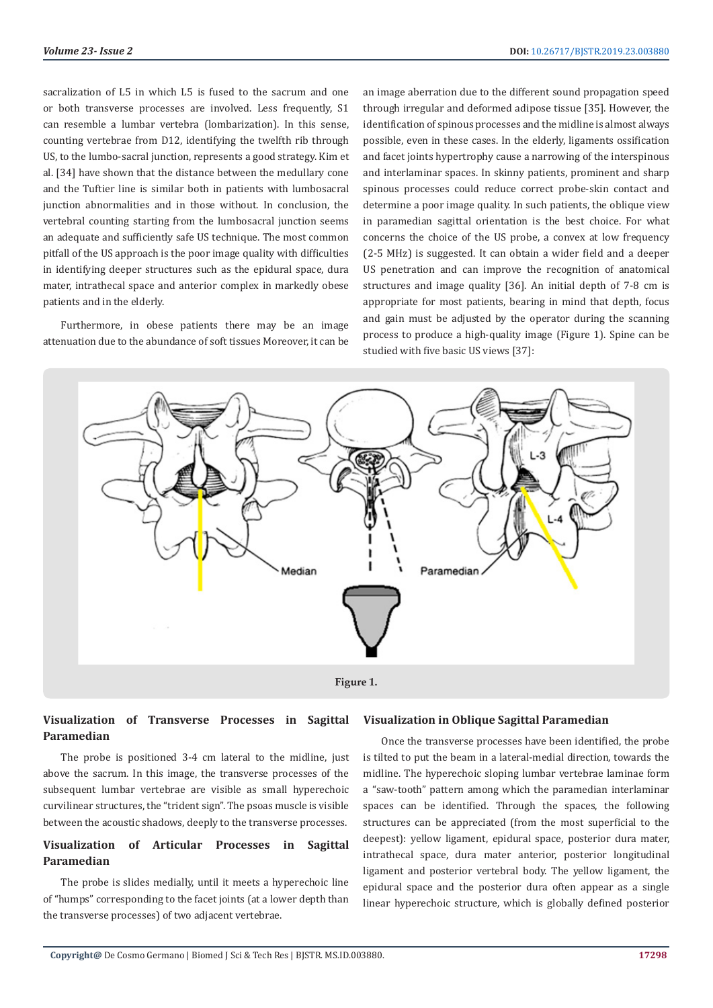sacralization of L5 in which L5 is fused to the sacrum and one or both transverse processes are involved. Less frequently, S1 can resemble a lumbar vertebra (lombarization). In this sense, counting vertebrae from D12, identifying the twelfth rib through US, to the lumbo-sacral junction, represents a good strategy. Kim et al. [34] have shown that the distance between the medullary cone and the Tuftier line is similar both in patients with lumbosacral junction abnormalities and in those without. In conclusion, the vertebral counting starting from the lumbosacral junction seems an adequate and sufficiently safe US technique. The most common pitfall of the US approach is the poor image quality with difficulties in identifying deeper structures such as the epidural space, dura mater, intrathecal space and anterior complex in markedly obese patients and in the elderly.

Furthermore, in obese patients there may be an image attenuation due to the abundance of soft tissues Moreover, it can be an image aberration due to the different sound propagation speed through irregular and deformed adipose tissue [35]. However, the identification of spinous processes and the midline is almost always possible, even in these cases. In the elderly, ligaments ossification and facet joints hypertrophy cause a narrowing of the interspinous and interlaminar spaces. In skinny patients, prominent and sharp spinous processes could reduce correct probe-skin contact and determine a poor image quality. In such patients, the oblique view in paramedian sagittal orientation is the best choice. For what concerns the choice of the US probe, a convex at low frequency (2-5 MHz) is suggested. It can obtain a wider field and a deeper US penetration and can improve the recognition of anatomical structures and image quality [36]. An initial depth of 7-8 cm is appropriate for most patients, bearing in mind that depth, focus and gain must be adjusted by the operator during the scanning process to produce a high-quality image (Figure 1). Spine can be studied with five basic US views [37]:



# **Visualization of Transverse Processes in Sagittal Paramedian**

The probe is positioned 3-4 cm lateral to the midline, just above the sacrum. In this image, the transverse processes of the subsequent lumbar vertebrae are visible as small hyperechoic curvilinear structures, the "trident sign". The psoas muscle is visible between the acoustic shadows, deeply to the transverse processes.

# **Visualization of Articular Processes in Sagittal Paramedian**

The probe is slides medially, until it meets a hyperechoic line of "humps" corresponding to the facet joints (at a lower depth than the transverse processes) of two adjacent vertebrae.

#### **Visualization in Oblique Sagittal Paramedian**

Once the transverse processes have been identified, the probe is tilted to put the beam in a lateral-medial direction, towards the midline. The hyperechoic sloping lumbar vertebrae laminae form a "saw-tooth" pattern among which the paramedian interlaminar spaces can be identified. Through the spaces, the following structures can be appreciated (from the most superficial to the deepest): yellow ligament, epidural space, posterior dura mater, intrathecal space, dura mater anterior, posterior longitudinal ligament and posterior vertebral body. The yellow ligament, the epidural space and the posterior dura often appear as a single linear hyperechoic structure, which is globally defined posterior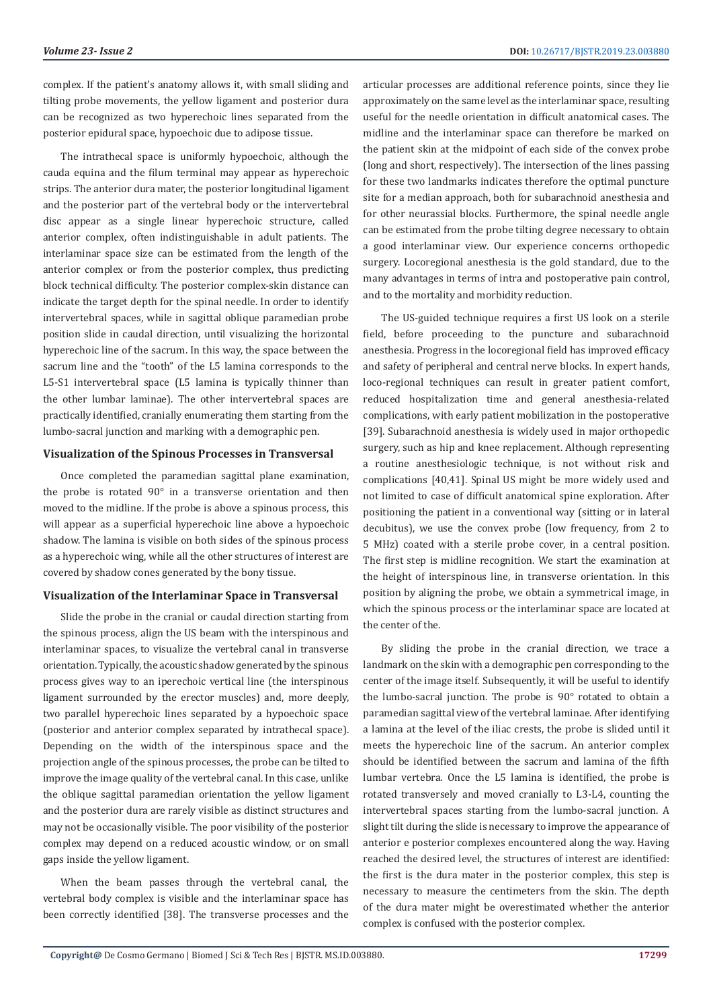complex. If the patient's anatomy allows it, with small sliding and tilting probe movements, the yellow ligament and posterior dura can be recognized as two hyperechoic lines separated from the posterior epidural space, hypoechoic due to adipose tissue.

The intrathecal space is uniformly hypoechoic, although the cauda equina and the filum terminal may appear as hyperechoic strips. The anterior dura mater, the posterior longitudinal ligament and the posterior part of the vertebral body or the intervertebral disc appear as a single linear hyperechoic structure, called anterior complex, often indistinguishable in adult patients. The interlaminar space size can be estimated from the length of the anterior complex or from the posterior complex, thus predicting block technical difficulty. The posterior complex-skin distance can indicate the target depth for the spinal needle. In order to identify intervertebral spaces, while in sagittal oblique paramedian probe position slide in caudal direction, until visualizing the horizontal hyperechoic line of the sacrum. In this way, the space between the sacrum line and the "tooth" of the L5 lamina corresponds to the L5-S1 intervertebral space (L5 lamina is typically thinner than the other lumbar laminae). The other intervertebral spaces are practically identified, cranially enumerating them starting from the lumbo-sacral junction and marking with a demographic pen.

#### **Visualization of the Spinous Processes in Transversal**

Once completed the paramedian sagittal plane examination, the probe is rotated 90° in a transverse orientation and then moved to the midline. If the probe is above a spinous process, this will appear as a superficial hyperechoic line above a hypoechoic shadow. The lamina is visible on both sides of the spinous process as a hyperechoic wing, while all the other structures of interest are covered by shadow cones generated by the bony tissue.

## **Visualization of the Interlaminar Space in Transversal**

Slide the probe in the cranial or caudal direction starting from the spinous process, align the US beam with the interspinous and interlaminar spaces, to visualize the vertebral canal in transverse orientation. Typically, the acoustic shadow generated by the spinous process gives way to an iperechoic vertical line (the interspinous ligament surrounded by the erector muscles) and, more deeply, two parallel hyperechoic lines separated by a hypoechoic space (posterior and anterior complex separated by intrathecal space). Depending on the width of the interspinous space and the projection angle of the spinous processes, the probe can be tilted to improve the image quality of the vertebral canal. In this case, unlike the oblique sagittal paramedian orientation the yellow ligament and the posterior dura are rarely visible as distinct structures and may not be occasionally visible. The poor visibility of the posterior complex may depend on a reduced acoustic window, or on small gaps inside the yellow ligament.

When the beam passes through the vertebral canal, the vertebral body complex is visible and the interlaminar space has been correctly identified [38]. The transverse processes and the

articular processes are additional reference points, since they lie approximately on the same level as the interlaminar space, resulting useful for the needle orientation in difficult anatomical cases. The midline and the interlaminar space can therefore be marked on the patient skin at the midpoint of each side of the convex probe (long and short, respectively). The intersection of the lines passing for these two landmarks indicates therefore the optimal puncture site for a median approach, both for subarachnoid anesthesia and for other neurassial blocks. Furthermore, the spinal needle angle can be estimated from the probe tilting degree necessary to obtain a good interlaminar view. Our experience concerns orthopedic surgery. Locoregional anesthesia is the gold standard, due to the many advantages in terms of intra and postoperative pain control, and to the mortality and morbidity reduction.

The US-guided technique requires a first US look on a sterile field, before proceeding to the puncture and subarachnoid anesthesia. Progress in the locoregional field has improved efficacy and safety of peripheral and central nerve blocks. In expert hands, loco-regional techniques can result in greater patient comfort, reduced hospitalization time and general anesthesia-related complications, with early patient mobilization in the postoperative [39]. Subarachnoid anesthesia is widely used in major orthopedic surgery, such as hip and knee replacement. Although representing a routine anesthesiologic technique, is not without risk and complications [40,41]. Spinal US might be more widely used and not limited to case of difficult anatomical spine exploration. After positioning the patient in a conventional way (sitting or in lateral decubitus), we use the convex probe (low frequency, from 2 to 5 MHz) coated with a sterile probe cover, in a central position. The first step is midline recognition. We start the examination at the height of interspinous line, in transverse orientation. In this position by aligning the probe, we obtain a symmetrical image, in which the spinous process or the interlaminar space are located at the center of the.

By sliding the probe in the cranial direction, we trace a landmark on the skin with a demographic pen corresponding to the center of the image itself. Subsequently, it will be useful to identify the lumbo-sacral junction. The probe is 90° rotated to obtain a paramedian sagittal view of the vertebral laminae. After identifying a lamina at the level of the iliac crests, the probe is slided until it meets the hyperechoic line of the sacrum. An anterior complex should be identified between the sacrum and lamina of the fifth lumbar vertebra. Once the L5 lamina is identified, the probe is rotated transversely and moved cranially to L3-L4, counting the intervertebral spaces starting from the lumbo-sacral junction. A slight tilt during the slide is necessary to improve the appearance of anterior e posterior complexes encountered along the way. Having reached the desired level, the structures of interest are identified: the first is the dura mater in the posterior complex, this step is necessary to measure the centimeters from the skin. The depth of the dura mater might be overestimated whether the anterior complex is confused with the posterior complex.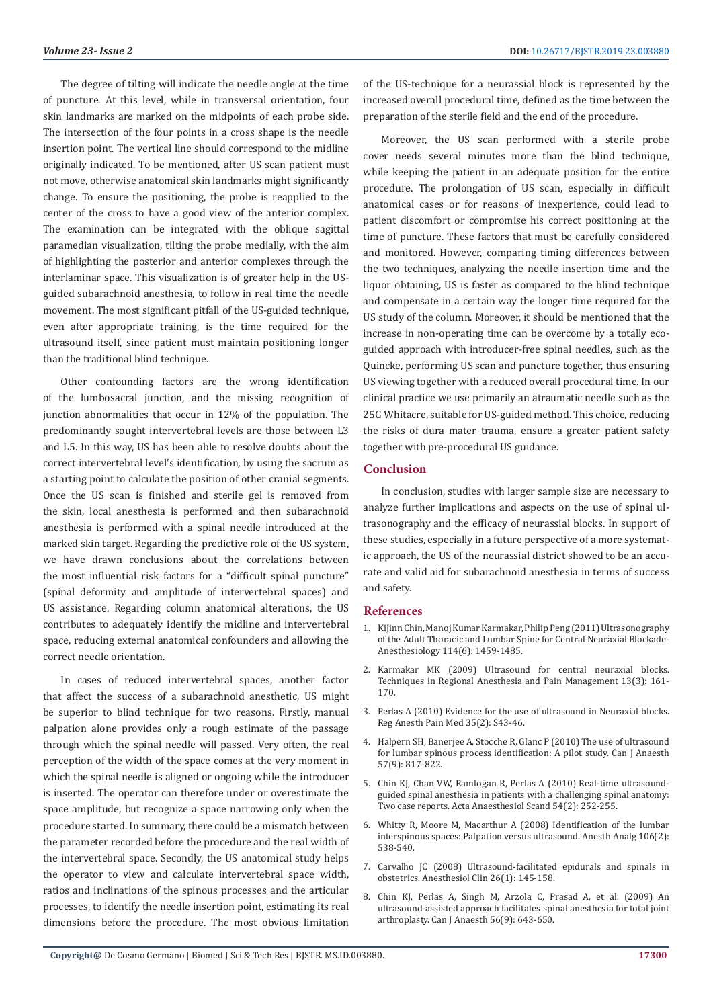The degree of tilting will indicate the needle angle at the time of puncture. At this level, while in transversal orientation, four skin landmarks are marked on the midpoints of each probe side. The intersection of the four points in a cross shape is the needle insertion point. The vertical line should correspond to the midline originally indicated. To be mentioned, after US scan patient must not move, otherwise anatomical skin landmarks might significantly change. To ensure the positioning, the probe is reapplied to the center of the cross to have a good view of the anterior complex. The examination can be integrated with the oblique sagittal paramedian visualization, tilting the probe medially, with the aim of highlighting the posterior and anterior complexes through the interlaminar space. This visualization is of greater help in the USguided subarachnoid anesthesia, to follow in real time the needle movement. The most significant pitfall of the US-guided technique, even after appropriate training, is the time required for the ultrasound itself, since patient must maintain positioning longer than the traditional blind technique.

Other confounding factors are the wrong identification of the lumbosacral junction, and the missing recognition of junction abnormalities that occur in 12% of the population. The predominantly sought intervertebral levels are those between L3 and L5. In this way, US has been able to resolve doubts about the correct intervertebral level's identification, by using the sacrum as a starting point to calculate the position of other cranial segments. Once the US scan is finished and sterile gel is removed from the skin, local anesthesia is performed and then subarachnoid anesthesia is performed with a spinal needle introduced at the marked skin target. Regarding the predictive role of the US system, we have drawn conclusions about the correlations between the most influential risk factors for a "difficult spinal puncture" (spinal deformity and amplitude of intervertebral spaces) and US assistance. Regarding column anatomical alterations, the US contributes to adequately identify the midline and intervertebral space, reducing external anatomical confounders and allowing the correct needle orientation.

In cases of reduced intervertebral spaces, another factor that affect the success of a subarachnoid anesthetic, US might be superior to blind technique for two reasons. Firstly, manual palpation alone provides only a rough estimate of the passage through which the spinal needle will passed. Very often, the real perception of the width of the space comes at the very moment in which the spinal needle is aligned or ongoing while the introducer is inserted. The operator can therefore under or overestimate the space amplitude, but recognize a space narrowing only when the procedure started. In summary, there could be a mismatch between the parameter recorded before the procedure and the real width of the intervertebral space. Secondly, the US anatomical study helps the operator to view and calculate intervertebral space width, ratios and inclinations of the spinous processes and the articular processes, to identify the needle insertion point, estimating its real dimensions before the procedure. The most obvious limitation of the US-technique for a neurassial block is represented by the increased overall procedural time, defined as the time between the preparation of the sterile field and the end of the procedure.

Moreover, the US scan performed with a sterile probe cover needs several minutes more than the blind technique, while keeping the patient in an adequate position for the entire procedure. The prolongation of US scan, especially in difficult anatomical cases or for reasons of inexperience, could lead to patient discomfort or compromise his correct positioning at the time of puncture. These factors that must be carefully considered and monitored. However, comparing timing differences between the two techniques, analyzing the needle insertion time and the liquor obtaining, US is faster as compared to the blind technique and compensate in a certain way the longer time required for the US study of the column. Moreover, it should be mentioned that the increase in non-operating time can be overcome by a totally ecoguided approach with introducer-free spinal needles, such as the Quincke, performing US scan and puncture together, thus ensuring US viewing together with a reduced overall procedural time. In our clinical practice we use primarily an atraumatic needle such as the 25G Whitacre, suitable for US-guided method. This choice, reducing the risks of dura mater trauma, ensure a greater patient safety together with pre-procedural US guidance.

#### **Conclusion**

In conclusion, studies with larger sample size are necessary to analyze further implications and aspects on the use of spinal ultrasonography and the efficacy of neurassial blocks. In support of these studies, especially in a future perspective of a more systematic approach, the US of the neurassial district showed to be an accurate and valid aid for subarachnoid anesthesia in terms of success and safety.

#### **References**

- 1. [KiJinn Chin, Manoj Kumar Karmakar, Philip Peng \(2011\) Ultrasonography](https://www.ncbi.nlm.nih.gov/pubmed/21422997) [of the Adult Thoracic and Lumbar Spine for Central Neuraxial Blockade-](https://www.ncbi.nlm.nih.gov/pubmed/21422997)[Anesthesiology 114\(6\): 1459-1485.](https://www.ncbi.nlm.nih.gov/pubmed/21422997)
- 2. [Karmakar MK \(2009\) Ultrasound for central neuraxial blocks.](https://www.researchgate.net/publication/244869518_Ultrasound_for_central_neuraxial_blocks) [Techniques in Regional Anesthesia and Pain Management 13\(3\): 161-](https://www.researchgate.net/publication/244869518_Ultrasound_for_central_neuraxial_blocks) [170.](https://www.researchgate.net/publication/244869518_Ultrasound_for_central_neuraxial_blocks)
- 3. [Perlas A \(2010\) Evidence for the use of ultrasound in Neuraxial blocks.](https://www.ncbi.nlm.nih.gov/pubmed/20216024) [Reg Anesth Pain Med 35\(2\): S43-46.](https://www.ncbi.nlm.nih.gov/pubmed/20216024)
- 4. [Halpern SH, Banerjee A, Stocche R, Glanc P \(2010\) The use of ultrasound](https://www.ncbi.nlm.nih.gov/pubmed/20499222) [for lumbar spinous process identification: A pilot study. Can J Anaesth](https://www.ncbi.nlm.nih.gov/pubmed/20499222) [57\(9\): 817-822.](https://www.ncbi.nlm.nih.gov/pubmed/20499222)
- 5. [Chin KJ, Chan VW, Ramlogan R, Perlas A \(2010\) Real-time ultrasound](https://www.ncbi.nlm.nih.gov/pubmed/19839951)[guided spinal anesthesia in patients with a challenging spinal anatomy:](https://www.ncbi.nlm.nih.gov/pubmed/19839951) [Two case reports. Acta Anaesthesiol Scand 54\(2\): 252-255.](https://www.ncbi.nlm.nih.gov/pubmed/19839951)
- 6. [Whitty R, Moore M, Macarthur A \(2008\) Identification of the lumbar](https://www.ncbi.nlm.nih.gov/pubmed/18227313) [interspinous spaces: Palpation versus ultrasound. Anesth Analg 106\(2\):](https://www.ncbi.nlm.nih.gov/pubmed/18227313) [538-540.](https://www.ncbi.nlm.nih.gov/pubmed/18227313)
- 7. [Carvalho JC \(2008\) Ultrasound-facilitated epidurals and spinals in](https://www.ncbi.nlm.nih.gov/pubmed/18319185) [obstetrics. Anesthesiol Clin 26\(1\): 145-158.](https://www.ncbi.nlm.nih.gov/pubmed/18319185)
- 8. [Chin KJ, Perlas A, Singh M, Arzola C, Prasad A, et al. \(2009\) An](https://www.ncbi.nlm.nih.gov/pubmed/19548051) [ultrasound-assisted approach facilitates spinal anesthesia for total joint](https://www.ncbi.nlm.nih.gov/pubmed/19548051) [arthroplasty. Can J Anaesth 56\(9\): 643-650.](https://www.ncbi.nlm.nih.gov/pubmed/19548051)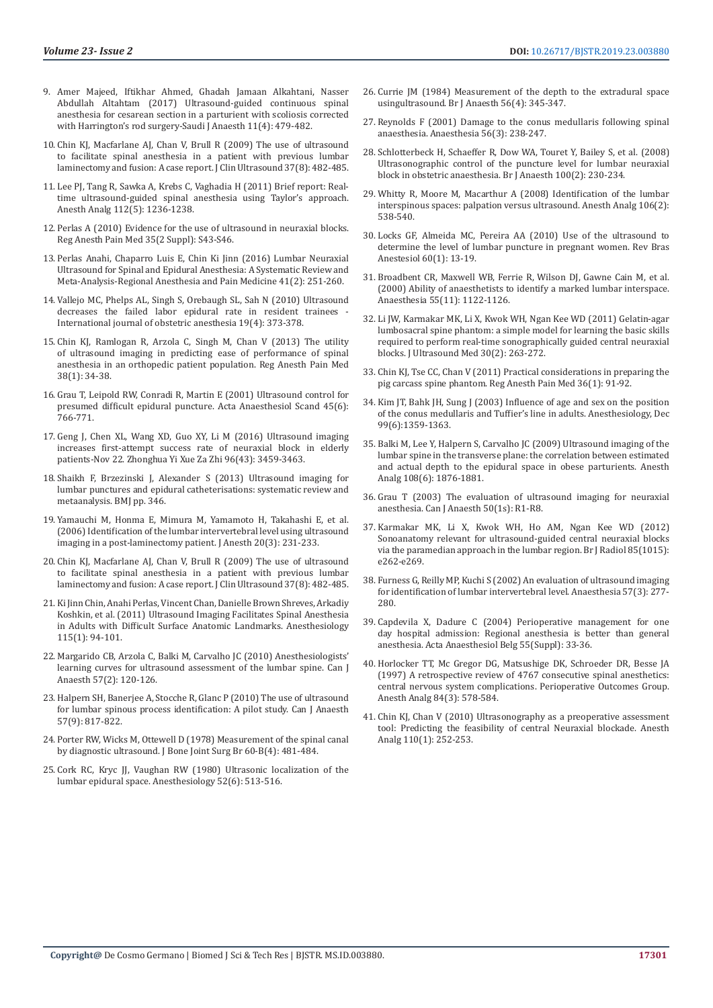- 9. [Amer Majeed, Iftikhar Ahmed, Ghadah Jamaan Alkahtani, Nasser](http://www.saudija.org/article.asp?issn=1658-354X;year=2017;volume=11;issue=4;spage=479;epage=482;aulast=Majeed)  [Abdullah Altahtam \(2017\) Ultrasound-guided continuous spinal](http://www.saudija.org/article.asp?issn=1658-354X;year=2017;volume=11;issue=4;spage=479;epage=482;aulast=Majeed)  [anesthesia for cesarean section in a parturient with scoliosis corrected](http://www.saudija.org/article.asp?issn=1658-354X;year=2017;volume=11;issue=4;spage=479;epage=482;aulast=Majeed)  [with Harrington's rod surgery-Saudi J Anaesth 11\(4\): 479-482.](http://www.saudija.org/article.asp?issn=1658-354X;year=2017;volume=11;issue=4;spage=479;epage=482;aulast=Majeed)
- 10. [Chin KJ, Macfarlane AJ, Chan V, Brull R \(2009\) The use of ultrasound](https://www.ncbi.nlm.nih.gov/pubmed/19455701)  [to facilitate spinal anesthesia in a patient with previous lumbar](https://www.ncbi.nlm.nih.gov/pubmed/19455701)  [laminectomy and fusion: A case report. J Clin Ultrasound 37\(8\): 482-485.](https://www.ncbi.nlm.nih.gov/pubmed/19455701)
- 11. [Lee PJ, Tang R, Sawka A, Krebs C, Vaghadia H \(2011\) Brief report: Real](https://www.ncbi.nlm.nih.gov/pubmed/21372276)[time ultrasound-guided spinal anesthesia using Taylor's approach.](https://www.ncbi.nlm.nih.gov/pubmed/21372276)  [Anesth Analg 112\(5\): 1236-1238.](https://www.ncbi.nlm.nih.gov/pubmed/21372276)
- 12. [Perlas A \(2010\) Evidence for the use of ultrasound in neuraxial blocks.](https://www.ncbi.nlm.nih.gov/pubmed/20216024)  [Reg Anesth Pain Med 35\(2 Suppl\): S43-S46.](https://www.ncbi.nlm.nih.gov/pubmed/20216024)
- 13. [Perlas Anahi, Chaparro Luis E, Chin Ki Jinn \(2016\) Lumbar Neuraxial](https://www.ncbi.nlm.nih.gov/pubmed/25493689)  [Ultrasound for Spinal and Epidural Anesthesia: A Systematic Review and](https://www.ncbi.nlm.nih.gov/pubmed/25493689)  [Meta-Analysis-Regional Anesthesia and Pain Medicine 41\(2\): 251-260.](https://www.ncbi.nlm.nih.gov/pubmed/25493689)
- 14. [Vallejo MC, Phelps AL, Singh S, Orebaugh SL, Sah N \(2010\) Ultrasound](https://www.ncbi.nlm.nih.gov/pubmed/20696564)  decreases the failed labor epidural rate in resident trainees [International journal of obstetric anesthesia 19\(4\): 373-378.](https://www.ncbi.nlm.nih.gov/pubmed/20696564)
- 15. [Chin KJ, Ramlogan R, Arzola C, Singh M, Chan V \(2013\) The utility](https://www.ncbi.nlm.nih.gov/pubmed/23143015)  [of ultrasound imaging in predicting ease of performance of spinal](https://www.ncbi.nlm.nih.gov/pubmed/23143015)  [anesthesia in an orthopedic patient population. Reg Anesth Pain Med](https://www.ncbi.nlm.nih.gov/pubmed/23143015)  [38\(1\): 34-38.](https://www.ncbi.nlm.nih.gov/pubmed/23143015)
- 16. [Grau T, Leipold RW, Conradi R, Martin E \(2001\) Ultrasound control for](https://www.ncbi.nlm.nih.gov/pubmed/11421838)  [presumed difficult epidural puncture. Acta Anaesthesiol Scand 45\(6\):](https://www.ncbi.nlm.nih.gov/pubmed/11421838)  [766-771.](https://www.ncbi.nlm.nih.gov/pubmed/11421838)
- 17. [Geng J, Chen XL, Wang XD, Guo XY, Li M \(2016\) Ultrasound imaging](https://www.ncbi.nlm.nih.gov/pubmed/27903338)  [increases first-attempt success rate of neuraxial block in elderly](https://www.ncbi.nlm.nih.gov/pubmed/27903338)  [patients-Nov 22. Zhonghua Yi Xue Za Zhi 96\(43\): 3459-3463.](https://www.ncbi.nlm.nih.gov/pubmed/27903338)
- 18. [Shaikh F, Brzezinski J, Alexander S \(2013\) Ultrasound imaging for](https://www.ncbi.nlm.nih.gov/books/NBK131824/)  [lumbar punctures and epidural catheterisations: systematic review and](https://www.ncbi.nlm.nih.gov/books/NBK131824/)  [metaanalysis. BMJ pp. 346.](https://www.ncbi.nlm.nih.gov/books/NBK131824/)
- 19. [Yamauchi M, Honma E, Mimura M, Yamamoto H, Takahashi E, et al.](https://www.ncbi.nlm.nih.gov/pubmed/16897246)  [\(2006\) Identification of the lumbar intervertebral level using ultrasound](https://www.ncbi.nlm.nih.gov/pubmed/16897246)  [imaging in a post-laminectomy patient. J Anesth 20\(3\): 231-233.](https://www.ncbi.nlm.nih.gov/pubmed/16897246)
- 20. [Chin KJ, Macfarlane AJ, Chan V, Brull R \(2009\) The use of ultrasound](https://www.ncbi.nlm.nih.gov/pubmed/19455701)  [to facilitate spinal anesthesia in a patient with previous lumbar](https://www.ncbi.nlm.nih.gov/pubmed/19455701)  [laminectomy and fusion: A case report. J Clin Ultrasound 37\(8\): 482-485.](https://www.ncbi.nlm.nih.gov/pubmed/19455701)
- 21. [Ki Jinn Chin, Anahi Perlas, Vincent Chan, Danielle Brown Shreves, Arkadiy](https://www.ncbi.nlm.nih.gov/pubmed/21572316)  [Koshkin, et al. \(2011\) Ultrasound Imaging Facilitates Spinal Anesthesia](https://www.ncbi.nlm.nih.gov/pubmed/21572316)  [in Adults with Difficult Surface Anatomic Landmarks. Anesthesiology](https://www.ncbi.nlm.nih.gov/pubmed/21572316)  [115\(1\): 94-101.](https://www.ncbi.nlm.nih.gov/pubmed/21572316)
- 22. [Margarido CB, Arzola C, Balki M, Carvalho JC \(2010\) Anesthesiologists'](https://www.ncbi.nlm.nih.gov/pubmed/20041358)  [learning curves for ultrasound assessment of the lumbar spine. Can J](https://www.ncbi.nlm.nih.gov/pubmed/20041358)  [Anaesth 57\(2\): 120-126.](https://www.ncbi.nlm.nih.gov/pubmed/20041358)
- 23. [Halpern SH, Banerjee A, Stocche R, Glanc P \(2010\) The use of ultrasound](https://www.ncbi.nlm.nih.gov/pubmed/20499222)  [for lumbar spinous process identification: A pilot study. Can J Anaesth](https://www.ncbi.nlm.nih.gov/pubmed/20499222)  [57\(9\): 817-822.](https://www.ncbi.nlm.nih.gov/pubmed/20499222)
- 24. [Porter RW, Wicks M, Ottewell D \(1978\) Measurement of the spinal canal](https://www.ncbi.nlm.nih.gov/pubmed/711793)  [by diagnostic ultrasound. J Bone Joint Surg Br 60-B\(4\): 481-484.](https://www.ncbi.nlm.nih.gov/pubmed/711793)
- 25. Cork RC, Kryc JJ, Vaughan RW (1980) Ultrasonic localization of the [lumbar epidural space. Anesthesiology 52\(6\): 513-516.](https://www.ncbi.nlm.nih.gov/pubmed/7377598)
- 26. [Currie JM \(1984\) Measurement of the depth to the extradural space](https://www.ncbi.nlm.nih.gov/pubmed/6712848) [usingultrasound. Br J Anaesth 56\(4\): 345-347.](https://www.ncbi.nlm.nih.gov/pubmed/6712848)
- 27. [Reynolds F \(2001\) Damage to the conus medullaris following spinal](https://www.ncbi.nlm.nih.gov/pubmed/11251431) [anaesthesia. Anaesthesia 56\(3\): 238-247.](https://www.ncbi.nlm.nih.gov/pubmed/11251431)
- 28. [Schlotterbeck H, Schaeffer R, Dow WA, Touret Y, Bailey S, et al. \(2008\)](https://www.ncbi.nlm.nih.gov/pubmed/18211995) [Ultrasonographic control of the puncture level for lumbar neuraxial](https://www.ncbi.nlm.nih.gov/pubmed/18211995) [block in obstetric anaesthesia. Br J Anaesth 100\(2\): 230-234.](https://www.ncbi.nlm.nih.gov/pubmed/18211995)
- 29. [Whitty R, Moore M, Macarthur A \(2008\) Identification of the lumbar](https://www.ncbi.nlm.nih.gov/pubmed/18227313) [interspinous spaces: palpation versus ultrasound. Anesth Analg 106\(2\):](https://www.ncbi.nlm.nih.gov/pubmed/18227313) [538-540.](https://www.ncbi.nlm.nih.gov/pubmed/18227313)
- 30. [Locks GF, Almeida MC, Pereira AA \(2010\) Use of the ultrasound to](https://www.ncbi.nlm.nih.gov/pubmed/20169259) [determine the level of lumbar puncture in pregnant women. Rev Bras](https://www.ncbi.nlm.nih.gov/pubmed/20169259) [Anestesiol 60\(1\): 13-19.](https://www.ncbi.nlm.nih.gov/pubmed/20169259)
- 31. [Broadbent CR, Maxwell WB, Ferrie R, Wilson DJ, Gawne Cain M, et al.](https://www.ncbi.nlm.nih.gov/pubmed/11069342) [\(2000\) Ability of anaesthetists to identify a marked lumbar interspace.](https://www.ncbi.nlm.nih.gov/pubmed/11069342) [Anaesthesia 55\(11\): 1122-1126.](https://www.ncbi.nlm.nih.gov/pubmed/11069342)
- 32. [Li JW, Karmakar MK, Li X, Kwok WH, Ngan Kee WD \(2011\) Gelatin-agar](https://www.ncbi.nlm.nih.gov/pubmed/21266566) [lumbosacral spine phantom: a simple model for learning the basic skills](https://www.ncbi.nlm.nih.gov/pubmed/21266566) [required to perform real-time sonographically guided central neuraxial](https://www.ncbi.nlm.nih.gov/pubmed/21266566) [blocks. J Ultrasound Med 30\(2\): 263-272.](https://www.ncbi.nlm.nih.gov/pubmed/21266566)
- 33. [Chin KJ, Tse CC, Chan V \(2011\) Practical considerations in preparing the](https://www.ncbi.nlm.nih.gov/pubmed/21169763) [pig carcass spine phantom. Reg Anesth Pain Med 36\(1\): 91-92.](https://www.ncbi.nlm.nih.gov/pubmed/21169763)
- 34. [Kim JT, Bahk JH, Sung J \(2003\) Influence of age and sex on the position](https://www.ncbi.nlm.nih.gov/pubmed/14639149) [of the conus medullaris and Tuffier's line in adults. Anesthesiology, Dec](https://www.ncbi.nlm.nih.gov/pubmed/14639149) [99\(6\):1359-1363.](https://www.ncbi.nlm.nih.gov/pubmed/14639149)
- 35. [Balki M, Lee Y, Halpern S, Carvalho JC \(2009\) Ultrasound imaging of the](https://www.ncbi.nlm.nih.gov/pubmed/19448216) [lumbar spine in the transverse plane: the correlation between estimated](https://www.ncbi.nlm.nih.gov/pubmed/19448216) [and actual depth to the epidural space in obese parturients. Anesth](https://www.ncbi.nlm.nih.gov/pubmed/19448216) [Analg 108\(6\): 1876-1881.](https://www.ncbi.nlm.nih.gov/pubmed/19448216)
- 36. [Grau T \(2003\) The evaluation of ultrasound imaging for neuraxial](https://link.springer.com/article/10.1007/BF03018153) [anesthesia. Can J Anaesth 50\(1s\): R1-R8.](https://link.springer.com/article/10.1007/BF03018153)
- 37. [Karmakar MK, Li X, Kwok WH, Ho AM, Ngan Kee WD \(2012\)](https://www.ncbi.nlm.nih.gov/pmc/articles/PMC3474051/) [Sonoanatomy relevant for ultrasound-guided central neuraxial blocks](https://www.ncbi.nlm.nih.gov/pmc/articles/PMC3474051/) [via the paramedian approach in the lumbar region. Br J Radiol 85\(1015\):](https://www.ncbi.nlm.nih.gov/pmc/articles/PMC3474051/) [e262-e269.](https://www.ncbi.nlm.nih.gov/pmc/articles/PMC3474051/)
- 38. [Furness G, Reilly MP, Kuchi S \(2002\) An evaluation of ultrasound imaging](https://www.ncbi.nlm.nih.gov/pubmed/11892638) [for identification of lumbar intervertebral level. Anaesthesia 57\(3\): 277-](https://www.ncbi.nlm.nih.gov/pubmed/11892638) [280.](https://www.ncbi.nlm.nih.gov/pubmed/11892638)
- 39. [Capdevila X, Dadure C \(2004\) Perioperative management for one](https://www.ncbi.nlm.nih.gov/pubmed/15625956) [day hospital admission: Regional anesthesia is better than general](https://www.ncbi.nlm.nih.gov/pubmed/15625956) [anesthesia. Acta Anaesthesiol Belg 55\(Suppl\): 33-36.](https://www.ncbi.nlm.nih.gov/pubmed/15625956)
- 40. [Horlocker TT, Mc Gregor DG, Matsushige DK, Schroeder DR, Besse JA](https://www.ncbi.nlm.nih.gov/pubmed/9052305) [\(1997\) A retrospective review of 4767 consecutive spinal anesthetics:](https://www.ncbi.nlm.nih.gov/pubmed/9052305) [central nervous system complications. Perioperative Outcomes Group.](https://www.ncbi.nlm.nih.gov/pubmed/9052305) [Anesth Analg 84\(3\): 578-584.](https://www.ncbi.nlm.nih.gov/pubmed/9052305)
- 41. [Chin KJ, Chan V \(2010\) Ultrasonography as a preoperative assessment](https://www.ncbi.nlm.nih.gov/pubmed/19861368) [tool: Predicting the feasibility of central Neuraxial blockade. Anesth](https://www.ncbi.nlm.nih.gov/pubmed/19861368) [Analg 110\(1\): 252-253.](https://www.ncbi.nlm.nih.gov/pubmed/19861368)